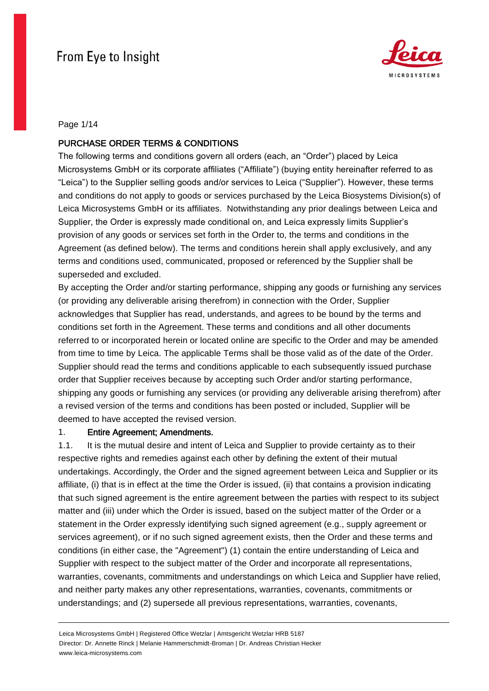

Page 1/14

## PURCHASE ORDER TERMS & CONDITIONS

The following terms and conditions govern all orders (each, an "Order") placed by Leica Microsystems GmbH or its corporate affiliates ("Affiliate") (buying entity hereinafter referred to as "Leica") to the Supplier selling goods and/or services to Leica ("Supplier"). However, these terms and conditions do not apply to goods or services purchased by the Leica Biosystems Division(s) of Leica Microsystems GmbH or its affiliates. Notwithstanding any prior dealings between Leica and Supplier, the Order is expressly made conditional on, and Leica expressly limits Supplier's provision of any goods or services set forth in the Order to, the terms and conditions in the Agreement (as defined below). The terms and conditions herein shall apply exclusively, and any terms and conditions used, communicated, proposed or referenced by the Supplier shall be superseded and excluded.

By accepting the Order and/or starting performance, shipping any goods or furnishing any services (or providing any deliverable arising therefrom) in connection with the Order, Supplier acknowledges that Supplier has read, understands, and agrees to be bound by the terms and conditions set forth in the Agreement. These terms and conditions and all other documents referred to or incorporated herein or located online are specific to the Order and may be amended from time to time by Leica. The applicable Terms shall be those valid as of the date of the Order. Supplier should read the terms and conditions applicable to each subsequently issued purchase order that Supplier receives because by accepting such Order and/or starting performance, shipping any goods or furnishing any services (or providing any deliverable arising therefrom) after a revised version of the terms and conditions has been posted or included, Supplier will be deemed to have accepted the revised version.

## 1. Entire Agreement; Amendments.

1.1. It is the mutual desire and intent of Leica and Supplier to provide certainty as to their respective rights and remedies against each other by defining the extent of their mutual undertakings. Accordingly, the Order and the signed agreement between Leica and Supplier or its affiliate, (i) that is in effect at the time the Order is issued, (ii) that contains a provision indicating that such signed agreement is the entire agreement between the parties with respect to its subject matter and (iii) under which the Order is issued, based on the subject matter of the Order or a statement in the Order expressly identifying such signed agreement (e.g., supply agreement or services agreement), or if no such signed agreement exists, then the Order and these terms and conditions (in either case, the "Agreement") (1) contain the entire understanding of Leica and Supplier with respect to the subject matter of the Order and incorporate all representations, warranties, covenants, commitments and understandings on which Leica and Supplier have relied, and neither party makes any other representations, warranties, covenants, commitments or understandings; and (2) supersede all previous representations, warranties, covenants,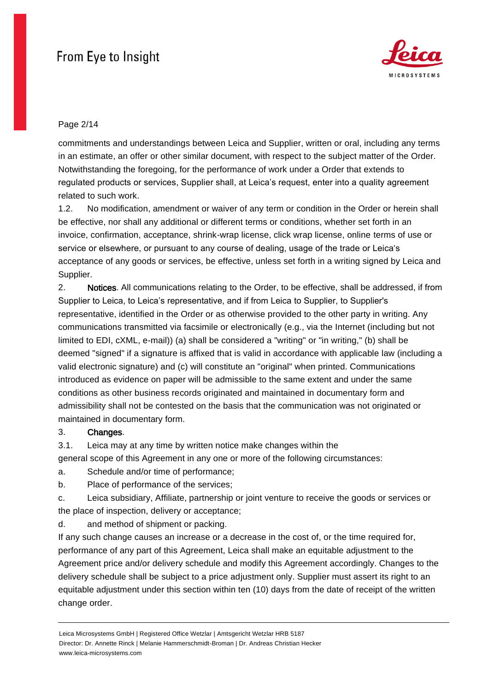

## Page 2/14

commitments and understandings between Leica and Supplier, written or oral, including any terms in an estimate, an offer or other similar document, with respect to the subject matter of the Order. Notwithstanding the foregoing, for the performance of work under a Order that extends to regulated products or services, Supplier shall, at Leica's request, enter into a quality agreement related to such work.

1.2. No modification, amendment or waiver of any term or condition in the Order or herein shall be effective, nor shall any additional or different terms or conditions, whether set forth in an invoice, confirmation, acceptance, shrink-wrap license, click wrap license, online terms of use or service or elsewhere, or pursuant to any course of dealing, usage of the trade or Leica's acceptance of any goods or services, be effective, unless set forth in a writing signed by Leica and Supplier.

2. Notices. All communications relating to the Order, to be effective, shall be addressed, if from Supplier to Leica, to Leica's representative, and if from Leica to Supplier, to Supplier's representative, identified in the Order or as otherwise provided to the other party in writing. Any communications transmitted via facsimile or electronically (e.g., via the Internet (including but not limited to EDI, cXML, e-mail)) (a) shall be considered a "writing" or "in writing," (b) shall be deemed "signed" if a signature is affixed that is valid in accordance with applicable law (including a valid electronic signature) and (c) will constitute an "original" when printed. Communications introduced as evidence on paper will be admissible to the same extent and under the same conditions as other business records originated and maintained in documentary form and admissibility shall not be contested on the basis that the communication was not originated or maintained in documentary form.

## 3. Changes.

3.1. Leica may at any time by written notice make changes within the

general scope of this Agreement in any one or more of the following circumstances:

- a. Schedule and/or time of performance;
- b. Place of performance of the services;
- c. Leica subsidiary, Affiliate, partnership or joint venture to receive the goods or services or the place of inspection, delivery or acceptance;

d. and method of shipment or packing.

If any such change causes an increase or a decrease in the cost of, or the time required for, performance of any part of this Agreement, Leica shall make an equitable adjustment to the Agreement price and/or delivery schedule and modify this Agreement accordingly. Changes to the delivery schedule shall be subject to a price adjustment only. Supplier must assert its right to an equitable adjustment under this section within ten (10) days from the date of receipt of the written change order.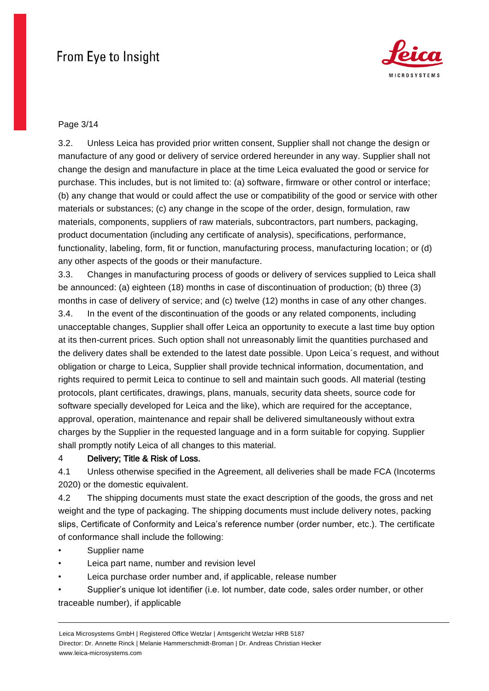

### Page 3/14

3.2. Unless Leica has provided prior written consent, Supplier shall not change the design or manufacture of any good or delivery of service ordered hereunder in any way. Supplier shall not change the design and manufacture in place at the time Leica evaluated the good or service for purchase. This includes, but is not limited to: (a) software, firmware or other control or interface; (b) any change that would or could affect the use or compatibility of the good or service with other materials or substances; (c) any change in the scope of the order, design, formulation, raw materials, components, suppliers of raw materials, subcontractors, part numbers, packaging, product documentation (including any certificate of analysis), specifications, performance, functionality, labeling, form, fit or function, manufacturing process, manufacturing location; or (d) any other aspects of the goods or their manufacture.

3.3. Changes in manufacturing process of goods or delivery of services supplied to Leica shall be announced: (a) eighteen (18) months in case of discontinuation of production; (b) three (3) months in case of delivery of service; and (c) twelve (12) months in case of any other changes. 3.4. In the event of the discontinuation of the goods or any related components, including unacceptable changes, Supplier shall offer Leica an opportunity to execute a last time buy option at its then-current prices. Such option shall not unreasonably limit the quantities purchased and the delivery dates shall be extended to the latest date possible. Upon Leica´s request, and without obligation or charge to Leica, Supplier shall provide technical information, documentation, and rights required to permit Leica to continue to sell and maintain such goods. All material (testing protocols, plant certificates, drawings, plans, manuals, security data sheets, source code for software specially developed for Leica and the like), which are required for the acceptance, approval, operation, maintenance and repair shall be delivered simultaneously without extra charges by the Supplier in the requested language and in a form suitable for copying. Supplier shall promptly notify Leica of all changes to this material.

#### 4 Delivery; Title & Risk of Loss.

4.1 Unless otherwise specified in the Agreement, all deliveries shall be made FCA (Incoterms 2020) or the domestic equivalent.

4.2 The shipping documents must state the exact description of the goods, the gross and net weight and the type of packaging. The shipping documents must include delivery notes, packing slips, Certificate of Conformity and Leica's reference number (order number, etc.). The certificate of conformance shall include the following:

- Supplier name
- Leica part name, number and revision level
- Leica purchase order number and, if applicable, release number
- Supplier's unique lot identifier (i.e. lot number, date code, sales order number, or other traceable number), if applicable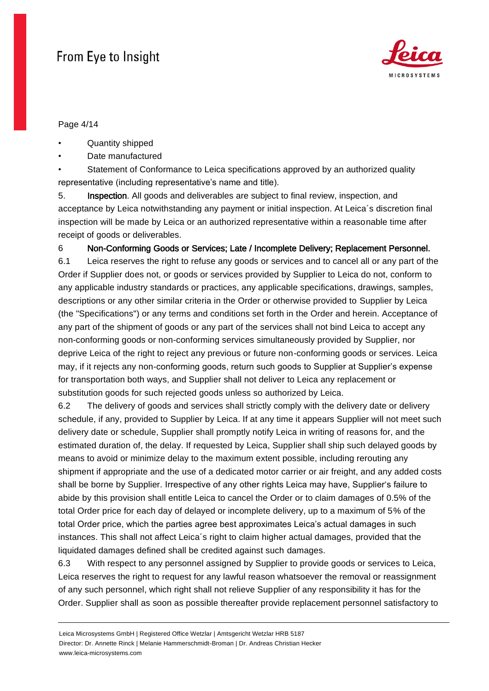

Page 4/14

- Quantity shipped
- Date manufactured

Statement of Conformance to Leica specifications approved by an authorized quality representative (including representative's name and title).

5. Inspection. All goods and deliverables are subject to final review, inspection, and acceptance by Leica notwithstanding any payment or initial inspection. At Leica´s discretion final inspection will be made by Leica or an authorized representative within a reasonable time after receipt of goods or deliverables.

6 Non-Conforming Goods or Services; Late / Incomplete Delivery; Replacement Personnel.

6.1 Leica reserves the right to refuse any goods or services and to cancel all or any part of the Order if Supplier does not, or goods or services provided by Supplier to Leica do not, conform to any applicable industry standards or practices, any applicable specifications, drawings, samples, descriptions or any other similar criteria in the Order or otherwise provided to Supplier by Leica (the "Specifications") or any terms and conditions set forth in the Order and herein. Acceptance of any part of the shipment of goods or any part of the services shall not bind Leica to accept any non-conforming goods or non-conforming services simultaneously provided by Supplier, nor deprive Leica of the right to reject any previous or future non-conforming goods or services. Leica may, if it rejects any non-conforming goods, return such goods to Supplier at Supplier's expense for transportation both ways, and Supplier shall not deliver to Leica any replacement or substitution goods for such rejected goods unless so authorized by Leica.

6.2 The delivery of goods and services shall strictly comply with the delivery date or delivery schedule, if any, provided to Supplier by Leica. If at any time it appears Supplier will not meet such delivery date or schedule, Supplier shall promptly notify Leica in writing of reasons for, and the estimated duration of, the delay. If requested by Leica, Supplier shall ship such delayed goods by means to avoid or minimize delay to the maximum extent possible, including rerouting any shipment if appropriate and the use of a dedicated motor carrier or air freight, and any added costs shall be borne by Supplier. Irrespective of any other rights Leica may have, Supplier's failure to abide by this provision shall entitle Leica to cancel the Order or to claim damages of 0.5% of the total Order price for each day of delayed or incomplete delivery, up to a maximum of 5% of the total Order price, which the parties agree best approximates Leica's actual damages in such instances. This shall not affect Leica´s right to claim higher actual damages, provided that the liquidated damages defined shall be credited against such damages.

6.3 With respect to any personnel assigned by Supplier to provide goods or services to Leica, Leica reserves the right to request for any lawful reason whatsoever the removal or reassignment of any such personnel, which right shall not relieve Supplier of any responsibility it has for the Order. Supplier shall as soon as possible thereafter provide replacement personnel satisfactory to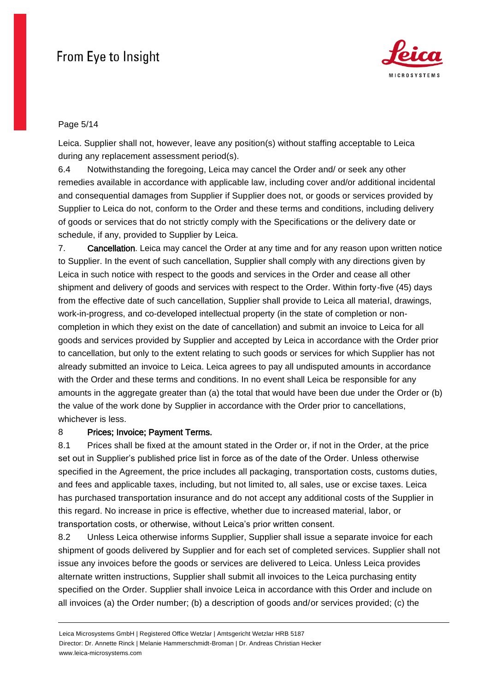

### Page 5/14

Leica. Supplier shall not, however, leave any position(s) without staffing acceptable to Leica during any replacement assessment period(s).

6.4 Notwithstanding the foregoing, Leica may cancel the Order and/ or seek any other remedies available in accordance with applicable law, including cover and/or additional incidental and consequential damages from Supplier if Supplier does not, or goods or services provided by Supplier to Leica do not, conform to the Order and these terms and conditions, including delivery of goods or services that do not strictly comply with the Specifications or the delivery date or schedule, if any, provided to Supplier by Leica.

7. Cancellation. Leica may cancel the Order at any time and for any reason upon written notice to Supplier. In the event of such cancellation, Supplier shall comply with any directions given by Leica in such notice with respect to the goods and services in the Order and cease all other shipment and delivery of goods and services with respect to the Order. Within forty-five (45) days from the effective date of such cancellation, Supplier shall provide to Leica all material, drawings, work-in-progress, and co-developed intellectual property (in the state of completion or noncompletion in which they exist on the date of cancellation) and submit an invoice to Leica for all goods and services provided by Supplier and accepted by Leica in accordance with the Order prior to cancellation, but only to the extent relating to such goods or services for which Supplier has not already submitted an invoice to Leica. Leica agrees to pay all undisputed amounts in accordance with the Order and these terms and conditions. In no event shall Leica be responsible for any amounts in the aggregate greater than (a) the total that would have been due under the Order or (b) the value of the work done by Supplier in accordance with the Order prior to cancellations, whichever is less.

## 8 Prices; Invoice; Payment Terms.

8.1 Prices shall be fixed at the amount stated in the Order or, if not in the Order, at the price set out in Supplier's published price list in force as of the date of the Order. Unless otherwise specified in the Agreement, the price includes all packaging, transportation costs, customs duties, and fees and applicable taxes, including, but not limited to, all sales, use or excise taxes. Leica has purchased transportation insurance and do not accept any additional costs of the Supplier in this regard. No increase in price is effective, whether due to increased material, labor, or transportation costs, or otherwise, without Leica's prior written consent.

8.2 Unless Leica otherwise informs Supplier, Supplier shall issue a separate invoice for each shipment of goods delivered by Supplier and for each set of completed services. Supplier shall not issue any invoices before the goods or services are delivered to Leica. Unless Leica provides alternate written instructions, Supplier shall submit all invoices to the Leica purchasing entity specified on the Order. Supplier shall invoice Leica in accordance with this Order and include on all invoices (a) the Order number; (b) a description of goods and/or services provided; (c) the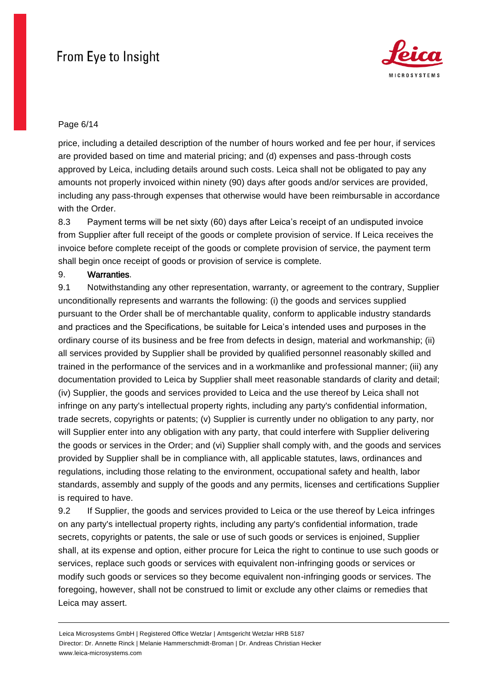

## Page 6/14

price, including a detailed description of the number of hours worked and fee per hour, if services are provided based on time and material pricing; and (d) expenses and pass-through costs approved by Leica, including details around such costs. Leica shall not be obligated to pay any amounts not properly invoiced within ninety (90) days after goods and/or services are provided, including any pass-through expenses that otherwise would have been reimbursable in accordance with the Order.

8.3 Payment terms will be net sixty (60) days after Leica's receipt of an undisputed invoice from Supplier after full receipt of the goods or complete provision of service. If Leica receives the invoice before complete receipt of the goods or complete provision of service, the payment term shall begin once receipt of goods or provision of service is complete.

## 9. Warranties.

9.1 Notwithstanding any other representation, warranty, or agreement to the contrary, Supplier unconditionally represents and warrants the following: (i) the goods and services supplied pursuant to the Order shall be of merchantable quality, conform to applicable industry standards and practices and the Specifications, be suitable for Leica's intended uses and purposes in the ordinary course of its business and be free from defects in design, material and workmanship; (ii) all services provided by Supplier shall be provided by qualified personnel reasonably skilled and trained in the performance of the services and in a workmanlike and professional manner; (iii) any documentation provided to Leica by Supplier shall meet reasonable standards of clarity and detail; (iv) Supplier, the goods and services provided to Leica and the use thereof by Leica shall not infringe on any party's intellectual property rights, including any party's confidential information, trade secrets, copyrights or patents; (v) Supplier is currently under no obligation to any party, nor will Supplier enter into any obligation with any party, that could interfere with Supplier delivering the goods or services in the Order; and (vi) Supplier shall comply with, and the goods and services provided by Supplier shall be in compliance with, all applicable statutes, laws, ordinances and regulations, including those relating to the environment, occupational safety and health, labor standards, assembly and supply of the goods and any permits, licenses and certifications Supplier is required to have.

9.2 If Supplier, the goods and services provided to Leica or the use thereof by Leica infringes on any party's intellectual property rights, including any party's confidential information, trade secrets, copyrights or patents, the sale or use of such goods or services is enjoined, Supplier shall, at its expense and option, either procure for Leica the right to continue to use such goods or services, replace such goods or services with equivalent non-infringing goods or services or modify such goods or services so they become equivalent non-infringing goods or services. The foregoing, however, shall not be construed to limit or exclude any other claims or remedies that Leica may assert.

Leica Microsystems GmbH | Registered Office Wetzlar | Amtsgericht Wetzlar HRB 5187 Director: Dr. Annette Rinck | Melanie Hammerschmidt-Broman | Dr. Andreas Christian Hecker www.leica-microsystems.com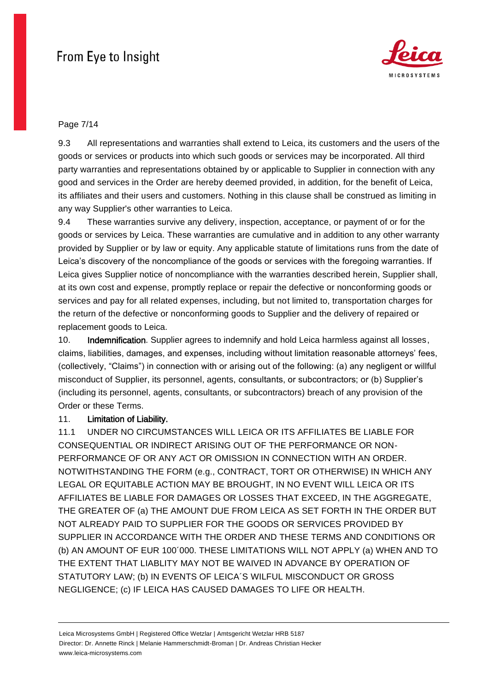

## Page 7/14

9.3 All representations and warranties shall extend to Leica, its customers and the users of the goods or services or products into which such goods or services may be incorporated. All third party warranties and representations obtained by or applicable to Supplier in connection with any good and services in the Order are hereby deemed provided, in addition, for the benefit of Leica, its affiliates and their users and customers. Nothing in this clause shall be construed as limiting in any way Supplier's other warranties to Leica.

9.4 These warranties survive any delivery, inspection, acceptance, or payment of or for the goods or services by Leica. These warranties are cumulative and in addition to any other warranty provided by Supplier or by law or equity. Any applicable statute of limitations runs from the date of Leica's discovery of the noncompliance of the goods or services with the foregoing warranties. If Leica gives Supplier notice of noncompliance with the warranties described herein, Supplier shall, at its own cost and expense, promptly replace or repair the defective or nonconforming goods or services and pay for all related expenses, including, but not limited to, transportation charges for the return of the defective or nonconforming goods to Supplier and the delivery of repaired or replacement goods to Leica.

10. **Indemnification**. Supplier agrees to indemnify and hold Leica harmless against all losses, claims, liabilities, damages, and expenses, including without limitation reasonable attorneys' fees, (collectively, "Claims") in connection with or arising out of the following: (a) any negligent or willful misconduct of Supplier, its personnel, agents, consultants, or subcontractors; or (b) Supplier's (including its personnel, agents, consultants, or subcontractors) breach of any provision of the Order or these Terms.

## 11. Limitation of Liability.

11.1 UNDER NO CIRCUMSTANCES WILL LEICA OR ITS AFFILIATES BE LIABLE FOR CONSEQUENTIAL OR INDIRECT ARISING OUT OF THE PERFORMANCE OR NON-PERFORMANCE OF OR ANY ACT OR OMISSION IN CONNECTION WITH AN ORDER. NOTWITHSTANDING THE FORM (e.g., CONTRACT, TORT OR OTHERWISE) IN WHICH ANY LEGAL OR EQUITABLE ACTION MAY BE BROUGHT, IN NO EVENT WILL LEICA OR ITS AFFILIATES BE LIABLE FOR DAMAGES OR LOSSES THAT EXCEED, IN THE AGGREGATE, THE GREATER OF (a) THE AMOUNT DUE FROM LEICA AS SET FORTH IN THE ORDER BUT NOT ALREADY PAID TO SUPPLIER FOR THE GOODS OR SERVICES PROVIDED BY SUPPLIER IN ACCORDANCE WITH THE ORDER AND THESE TERMS AND CONDITIONS OR (b) AN AMOUNT OF EUR 100´000. THESE LIMITATIONS WILL NOT APPLY (a) WHEN AND TO THE EXTENT THAT LIABLITY MAY NOT BE WAIVED IN ADVANCE BY OPERATION OF STATUTORY LAW; (b) IN EVENTS OF LEICA´S WILFUL MISCONDUCT OR GROSS NEGLIGENCE; (c) IF LEICA HAS CAUSED DAMAGES TO LIFE OR HEALTH.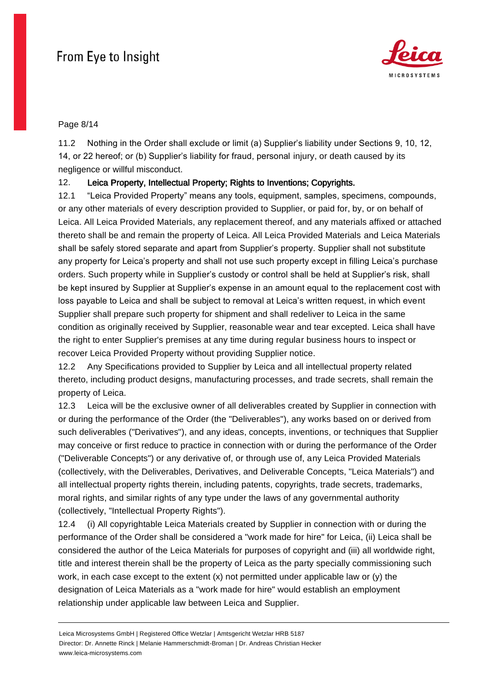

#### Page 8/14

11.2 Nothing in the Order shall exclude or limit (a) Supplier's liability under Sections 9, 10, 12, 14, or 22 hereof; or (b) Supplier's liability for fraud, personal injury, or death caused by its negligence or willful misconduct.

## 12. Leica Property, Intellectual Property; Rights to Inventions; Copyrights.

12.1 "Leica Provided Property" means any tools, equipment, samples, specimens, compounds, or any other materials of every description provided to Supplier, or paid for, by, or on behalf of Leica. All Leica Provided Materials, any replacement thereof, and any materials affixed or attached thereto shall be and remain the property of Leica. All Leica Provided Materials and Leica Materials shall be safely stored separate and apart from Supplier's property. Supplier shall not substitute any property for Leica's property and shall not use such property except in filling Leica's purchase orders. Such property while in Supplier's custody or control shall be held at Supplier's risk, shall be kept insured by Supplier at Supplier's expense in an amount equal to the replacement cost with loss payable to Leica and shall be subject to removal at Leica's written request, in which event Supplier shall prepare such property for shipment and shall redeliver to Leica in the same condition as originally received by Supplier, reasonable wear and tear excepted. Leica shall have the right to enter Supplier's premises at any time during regular business hours to inspect or recover Leica Provided Property without providing Supplier notice.

12.2 Any Specifications provided to Supplier by Leica and all intellectual property related thereto, including product designs, manufacturing processes, and trade secrets, shall remain the property of Leica.

12.3 Leica will be the exclusive owner of all deliverables created by Supplier in connection with or during the performance of the Order (the "Deliverables"), any works based on or derived from such deliverables ("Derivatives"), and any ideas, concepts, inventions, or techniques that Supplier may conceive or first reduce to practice in connection with or during the performance of the Order ("Deliverable Concepts") or any derivative of, or through use of, any Leica Provided Materials (collectively, with the Deliverables, Derivatives, and Deliverable Concepts, "Leica Materials") and all intellectual property rights therein, including patents, copyrights, trade secrets, trademarks, moral rights, and similar rights of any type under the laws of any governmental authority (collectively, "Intellectual Property Rights").

12.4 (i) All copyrightable Leica Materials created by Supplier in connection with or during the performance of the Order shall be considered a "work made for hire" for Leica, (ii) Leica shall be considered the author of the Leica Materials for purposes of copyright and (iii) all worldwide right, title and interest therein shall be the property of Leica as the party specially commissioning such work, in each case except to the extent  $(x)$  not permitted under applicable law or  $(y)$  the designation of Leica Materials as a "work made for hire" would establish an employment relationship under applicable law between Leica and Supplier.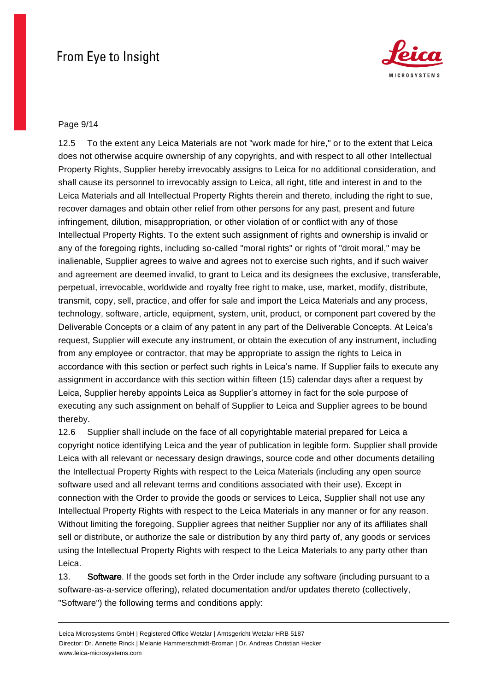

### Page 9/14

12.5 To the extent any Leica Materials are not "work made for hire," or to the extent that Leica does not otherwise acquire ownership of any copyrights, and with respect to all other Intellectual Property Rights, Supplier hereby irrevocably assigns to Leica for no additional consideration, and shall cause its personnel to irrevocably assign to Leica, all right, title and interest in and to the Leica Materials and all Intellectual Property Rights therein and thereto, including the right to sue, recover damages and obtain other relief from other persons for any past, present and future infringement, dilution, misappropriation, or other violation of or conflict with any of those Intellectual Property Rights. To the extent such assignment of rights and ownership is invalid or any of the foregoing rights, including so-called "moral rights" or rights of "droit moral," may be inalienable, Supplier agrees to waive and agrees not to exercise such rights, and if such waiver and agreement are deemed invalid, to grant to Leica and its designees the exclusive, transferable, perpetual, irrevocable, worldwide and royalty free right to make, use, market, modify, distribute, transmit, copy, sell, practice, and offer for sale and import the Leica Materials and any process, technology, software, article, equipment, system, unit, product, or component part covered by the Deliverable Concepts or a claim of any patent in any part of the Deliverable Concepts. At Leica's request, Supplier will execute any instrument, or obtain the execution of any instrument, including from any employee or contractor, that may be appropriate to assign the rights to Leica in accordance with this section or perfect such rights in Leica's name. If Supplier fails to execute any assignment in accordance with this section within fifteen (15) calendar days after a request by Leica, Supplier hereby appoints Leica as Supplier's attorney in fact for the sole purpose of executing any such assignment on behalf of Supplier to Leica and Supplier agrees to be bound thereby.

12.6 Supplier shall include on the face of all copyrightable material prepared for Leica a copyright notice identifying Leica and the year of publication in legible form. Supplier shall provide Leica with all relevant or necessary design drawings, source code and other documents detailing the Intellectual Property Rights with respect to the Leica Materials (including any open source software used and all relevant terms and conditions associated with their use). Except in connection with the Order to provide the goods or services to Leica, Supplier shall not use any Intellectual Property Rights with respect to the Leica Materials in any manner or for any reason. Without limiting the foregoing, Supplier agrees that neither Supplier nor any of its affiliates shall sell or distribute, or authorize the sale or distribution by any third party of, any goods or services using the Intellectual Property Rights with respect to the Leica Materials to any party other than Leica.

13. Software. If the goods set forth in the Order include any software (including pursuant to a software-as-a-service offering), related documentation and/or updates thereto (collectively, "Software") the following terms and conditions apply: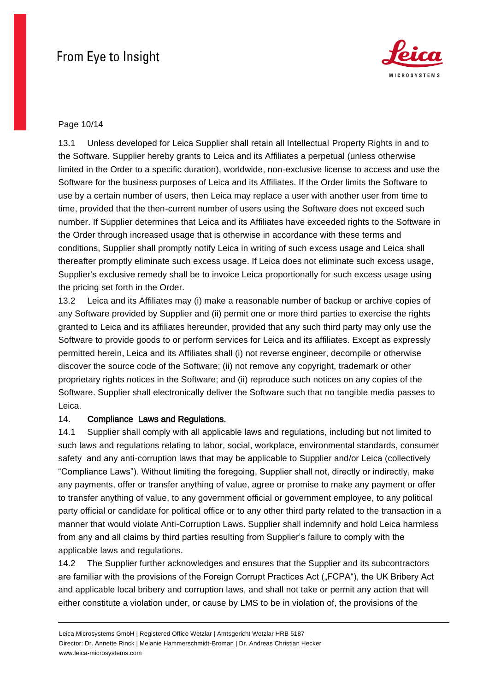

### Page 10/14

13.1 Unless developed for Leica Supplier shall retain all Intellectual Property Rights in and to the Software. Supplier hereby grants to Leica and its Affiliates a perpetual (unless otherwise limited in the Order to a specific duration), worldwide, non-exclusive license to access and use the Software for the business purposes of Leica and its Affiliates. If the Order limits the Software to use by a certain number of users, then Leica may replace a user with another user from time to time, provided that the then-current number of users using the Software does not exceed such number. If Supplier determines that Leica and its Affiliates have exceeded rights to the Software in the Order through increased usage that is otherwise in accordance with these terms and conditions, Supplier shall promptly notify Leica in writing of such excess usage and Leica shall thereafter promptly eliminate such excess usage. If Leica does not eliminate such excess usage, Supplier's exclusive remedy shall be to invoice Leica proportionally for such excess usage using the pricing set forth in the Order.

13.2 Leica and its Affiliates may (i) make a reasonable number of backup or archive copies of any Software provided by Supplier and (ii) permit one or more third parties to exercise the rights granted to Leica and its affiliates hereunder, provided that any such third party may only use the Software to provide goods to or perform services for Leica and its affiliates. Except as expressly permitted herein, Leica and its Affiliates shall (i) not reverse engineer, decompile or otherwise discover the source code of the Software; (ii) not remove any copyright, trademark or other proprietary rights notices in the Software; and (ii) reproduce such notices on any copies of the Software. Supplier shall electronically deliver the Software such that no tangible media passes to Leica.

## 14. Compliance Laws and Regulations.

14.1 Supplier shall comply with all applicable laws and regulations, including but not limited to such laws and regulations relating to labor, social, workplace, environmental standards, consumer safety and any anti-corruption laws that may be applicable to Supplier and/or Leica (collectively "Compliance Laws"). Without limiting the foregoing, Supplier shall not, directly or indirectly, make any payments, offer or transfer anything of value, agree or promise to make any payment or offer to transfer anything of value, to any government official or government employee, to any political party official or candidate for political office or to any other third party related to the transaction in a manner that would violate Anti-Corruption Laws. Supplier shall indemnify and hold Leica harmless from any and all claims by third parties resulting from Supplier's failure to comply with the applicable laws and regulations.

14.2 The Supplier further acknowledges and ensures that the Supplier and its subcontractors are familiar with the provisions of the Foreign Corrupt Practices Act ("FCPA"), the UK Bribery Act and applicable local bribery and corruption laws, and shall not take or permit any action that will either constitute a violation under, or cause by LMS to be in violation of, the provisions of the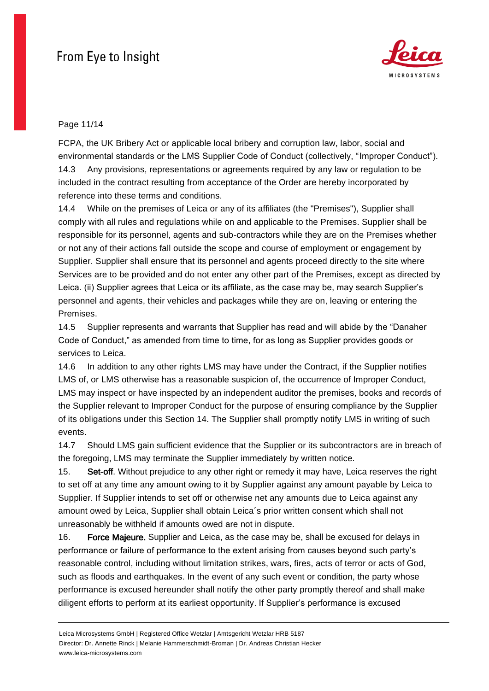

### Page 11/14

FCPA, the UK Bribery Act or applicable local bribery and corruption law, labor, social and environmental standards or the LMS Supplier Code of Conduct (collectively, "Improper Conduct"). 14.3 Any provisions, representations or agreements required by any law or regulation to be included in the contract resulting from acceptance of the Order are hereby incorporated by reference into these terms and conditions.

14.4 While on the premises of Leica or any of its affiliates (the "Premises"), Supplier shall comply with all rules and regulations while on and applicable to the Premises. Supplier shall be responsible for its personnel, agents and sub-contractors while they are on the Premises whether or not any of their actions fall outside the scope and course of employment or engagement by Supplier. Supplier shall ensure that its personnel and agents proceed directly to the site where Services are to be provided and do not enter any other part of the Premises, except as directed by Leica. (ii) Supplier agrees that Leica or its affiliate, as the case may be, may search Supplier's personnel and agents, their vehicles and packages while they are on, leaving or entering the Premises.

14.5 Supplier represents and warrants that Supplier has read and will abide by the "Danaher Code of Conduct," as amended from time to time, for as long as Supplier provides goods or services to Leica.

14.6 In addition to any other rights LMS may have under the Contract, if the Supplier notifies LMS of, or LMS otherwise has a reasonable suspicion of, the occurrence of Improper Conduct, LMS may inspect or have inspected by an independent auditor the premises, books and records of the Supplier relevant to Improper Conduct for the purpose of ensuring compliance by the Supplier of its obligations under this Section 14. The Supplier shall promptly notify LMS in writing of such events.

14.7 Should LMS gain sufficient evidence that the Supplier or its subcontractors are in breach of the foregoing, LMS may terminate the Supplier immediately by written notice.

15. Set-off. Without prejudice to any other right or remedy it may have, Leica reserves the right to set off at any time any amount owing to it by Supplier against any amount payable by Leica to Supplier. If Supplier intends to set off or otherwise net any amounts due to Leica against any amount owed by Leica, Supplier shall obtain Leica´s prior written consent which shall not unreasonably be withheld if amounts owed are not in dispute.

16. Force Majeure. Supplier and Leica, as the case may be, shall be excused for delays in performance or failure of performance to the extent arising from causes beyond such party's reasonable control, including without limitation strikes, wars, fires, acts of terror or acts of God, such as floods and earthquakes. In the event of any such event or condition, the party whose performance is excused hereunder shall notify the other party promptly thereof and shall make diligent efforts to perform at its earliest opportunity. If Supplier's performance is excused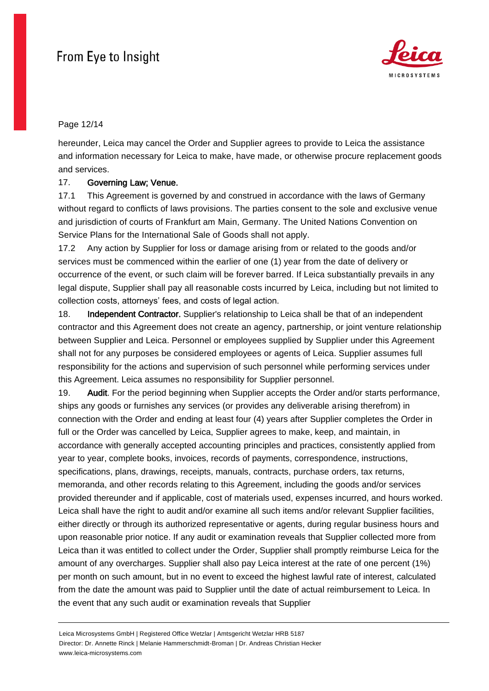

## Page 12/14

hereunder, Leica may cancel the Order and Supplier agrees to provide to Leica the assistance and information necessary for Leica to make, have made, or otherwise procure replacement goods and services.

#### 17. Governing Law; Venue.

17.1 This Agreement is governed by and construed in accordance with the laws of Germany without regard to conflicts of laws provisions. The parties consent to the sole and exclusive venue and jurisdiction of courts of Frankfurt am Main, Germany. The United Nations Convention on Service Plans for the International Sale of Goods shall not apply.

17.2 Any action by Supplier for loss or damage arising from or related to the goods and/or services must be commenced within the earlier of one (1) year from the date of delivery or occurrence of the event, or such claim will be forever barred. If Leica substantially prevails in any legal dispute, Supplier shall pay all reasonable costs incurred by Leica, including but not limited to collection costs, attorneys' fees, and costs of legal action.

18. Independent Contractor. Supplier's relationship to Leica shall be that of an independent contractor and this Agreement does not create an agency, partnership, or joint venture relationship between Supplier and Leica. Personnel or employees supplied by Supplier under this Agreement shall not for any purposes be considered employees or agents of Leica. Supplier assumes full responsibility for the actions and supervision of such personnel while performing services under this Agreement. Leica assumes no responsibility for Supplier personnel.

19. Audit. For the period beginning when Supplier accepts the Order and/or starts performance, ships any goods or furnishes any services (or provides any deliverable arising therefrom) in connection with the Order and ending at least four (4) years after Supplier completes the Order in full or the Order was cancelled by Leica, Supplier agrees to make, keep, and maintain, in accordance with generally accepted accounting principles and practices, consistently applied from year to year, complete books, invoices, records of payments, correspondence, instructions, specifications, plans, drawings, receipts, manuals, contracts, purchase orders, tax returns, memoranda, and other records relating to this Agreement, including the goods and/or services provided thereunder and if applicable, cost of materials used, expenses incurred, and hours worked. Leica shall have the right to audit and/or examine all such items and/or relevant Supplier facilities, either directly or through its authorized representative or agents, during regular business hours and upon reasonable prior notice. If any audit or examination reveals that Supplier collected more from Leica than it was entitled to collect under the Order, Supplier shall promptly reimburse Leica for the amount of any overcharges. Supplier shall also pay Leica interest at the rate of one percent (1%) per month on such amount, but in no event to exceed the highest lawful rate of interest, calculated from the date the amount was paid to Supplier until the date of actual reimbursement to Leica. In the event that any such audit or examination reveals that Supplier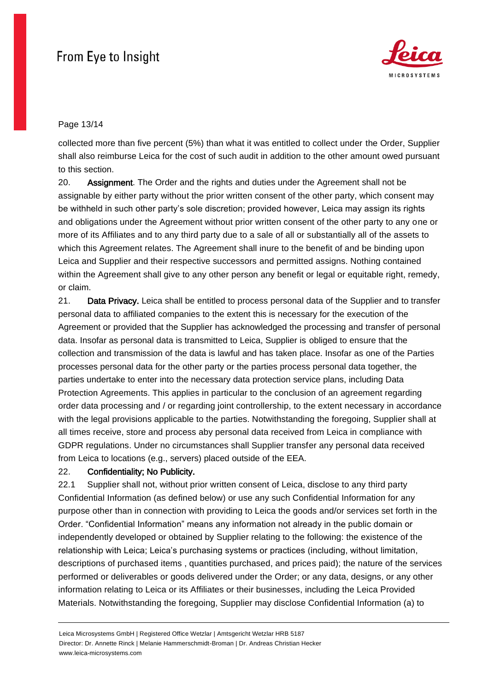

## Page 13/14

collected more than five percent (5%) than what it was entitled to collect under the Order, Supplier shall also reimburse Leica for the cost of such audit in addition to the other amount owed pursuant to this section.

20. Assignment. The Order and the rights and duties under the Agreement shall not be assignable by either party without the prior written consent of the other party, which consent may be withheld in such other party's sole discretion; provided however, Leica may assign its rights and obligations under the Agreement without prior written consent of the other party to any one or more of its Affiliates and to any third party due to a sale of all or substantially all of the assets to which this Agreement relates. The Agreement shall inure to the benefit of and be binding upon Leica and Supplier and their respective successors and permitted assigns. Nothing contained within the Agreement shall give to any other person any benefit or legal or equitable right, remedy, or claim.

21. Data Privacy. Leica shall be entitled to process personal data of the Supplier and to transfer personal data to affiliated companies to the extent this is necessary for the execution of the Agreement or provided that the Supplier has acknowledged the processing and transfer of personal data. Insofar as personal data is transmitted to Leica, Supplier is obliged to ensure that the collection and transmission of the data is lawful and has taken place. Insofar as one of the Parties processes personal data for the other party or the parties process personal data together, the parties undertake to enter into the necessary data protection service plans, including Data Protection Agreements. This applies in particular to the conclusion of an agreement regarding order data processing and / or regarding joint controllership, to the extent necessary in accordance with the legal provisions applicable to the parties. Notwithstanding the foregoing, Supplier shall at all times receive, store and process aby personal data received from Leica in compliance with GDPR regulations. Under no circumstances shall Supplier transfer any personal data received from Leica to locations (e.g., servers) placed outside of the EEA.

## 22. Confidentiality; No Publicity.

22.1 Supplier shall not, without prior written consent of Leica, disclose to any third party Confidential Information (as defined below) or use any such Confidential Information for any purpose other than in connection with providing to Leica the goods and/or services set forth in the Order. "Confidential Information" means any information not already in the public domain or independently developed or obtained by Supplier relating to the following: the existence of the relationship with Leica; Leica's purchasing systems or practices (including, without limitation, descriptions of purchased items , quantities purchased, and prices paid); the nature of the services performed or deliverables or goods delivered under the Order; or any data, designs, or any other information relating to Leica or its Affiliates or their businesses, including the Leica Provided Materials. Notwithstanding the foregoing, Supplier may disclose Confidential Information (a) to